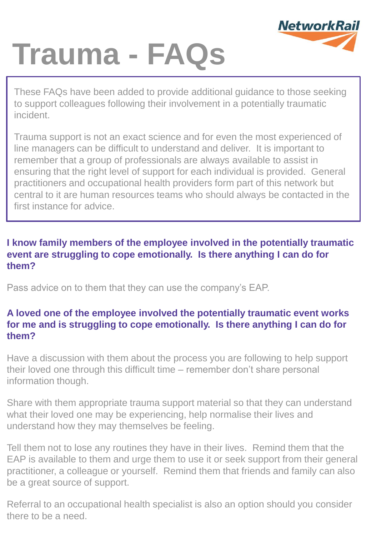

# **Trauma - FAQs**

These FAQs have been added to provide additional guidance to those seeking to support colleagues following their involvement in a potentially traumatic incident.

Trauma support is not an exact science and for even the most experienced of line managers can be difficult to understand and deliver. It is important to remember that a group of professionals are always available to assist in ensuring that the right level of support for each individual is provided. General practitioners and occupational health providers form part of this network but central to it are human resources teams who should always be contacted in the first instance for advice.

# **I know family members of the employee involved in the potentially traumatic event are struggling to cope emotionally. Is there anything I can do for them?**

Pass advice on to them that they can use the company's EAP.

# **A loved one of the employee involved the potentially traumatic event works for me and is struggling to cope emotionally. Is there anything I can do for them?**

Have a discussion with them about the process you are following to help support their loved one through this difficult time – remember don't share personal information though.

Share with them appropriate trauma support material so that they can understand what their loved one may be experiencing, help normalise their lives and understand how they may themselves be feeling.

Tell them not to lose any routines they have in their lives. Remind them that the EAP is available to them and urge them to use it or seek support from their general practitioner, a colleague or yourself. Remind them that friends and family can also be a great source of support.

Referral to an occupational health specialist is also an option should you consider there to be a need.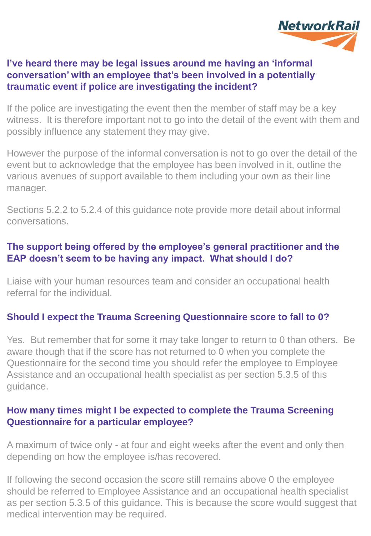

# **I've heard there may be legal issues around me having an 'informal conversation' with an employee that's been involved in a potentially traumatic event if police are investigating the incident?**

If the police are investigating the event then the member of staff may be a key witness. It is therefore important not to go into the detail of the event with them and possibly influence any statement they may give.

However the purpose of the informal conversation is not to go over the detail of the event but to acknowledge that the employee has been involved in it, outline the various avenues of support available to them including your own as their line manager.

Sections 5.2.2 to 5.2.4 of this guidance note provide more detail about informal conversations.

# **The support being offered by the employee's general practitioner and the EAP doesn't seem to be having any impact. What should I do?**

Liaise with your human resources team and consider an occupational health referral for the individual.

## **Should I expect the Trauma Screening Questionnaire score to fall to 0?**

Yes. But remember that for some it may take longer to return to 0 than others. Be aware though that if the score has not returned to 0 when you complete the Questionnaire for the second time you should refer the employee to Employee Assistance and an occupational health specialist as per section 5.3.5 of this guidance.

## **How many times might I be expected to complete the Trauma Screening Questionnaire for a particular employee?**

A maximum of twice only - at four and eight weeks after the event and only then depending on how the employee is/has recovered.

If following the second occasion the score still remains above 0 the employee should be referred to Employee Assistance and an occupational health specialist as per section 5.3.5 of this guidance. This is because the score would suggest that medical intervention may be required.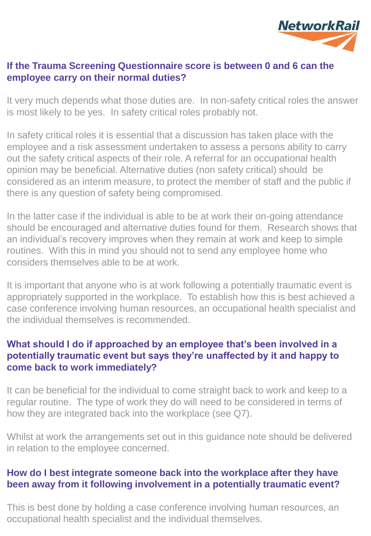

## **If the Trauma Screening Questionnaire score is between 0 and 6 can the employee carry on their normal duties?**

It very much depends what those duties are. In non-safety critical roles the answer is most likely to be yes. In safety critical roles probably not.

In safety critical roles it is essential that a discussion has taken place with the employee and a risk assessment undertaken to assess a persons ability to carry out the safety critical aspects of their role. A referral for an occupational health opinion may be beneficial. Alternative duties (non safety critical) should be considered as an interim measure, to protect the member of staff and the public if there is any question of safety being compromised.

In the latter case if the individual is able to be at work their on-going attendance should be encouraged and alternative duties found for them. Research shows that an individual's recovery improves when they remain at work and keep to simple routines. With this in mind you should not to send any employee home who considers themselves able to be at work.

It is important that anyone who is at work following a potentially traumatic event is appropriately supported in the workplace. To establish how this is best achieved a case conference involving human resources, an occupational health specialist and the individual themselves is recommended.

# **What should I do if approached by an employee that's been involved in a potentially traumatic event but says they're unaffected by it and happy to come back to work immediately?**

It can be beneficial for the individual to come straight back to work and keep to a regular routine. The type of work they do will need to be considered in terms of how they are integrated back into the workplace (see Q7).

Whilst at work the arrangements set out in this guidance note should be delivered in relation to the employee concerned.

# **How do I best integrate someone back into the workplace after they have been away from it following involvement in a potentially traumatic event?**

This is best done by holding a case conference involving human resources, an occupational health specialist and the individual themselves.